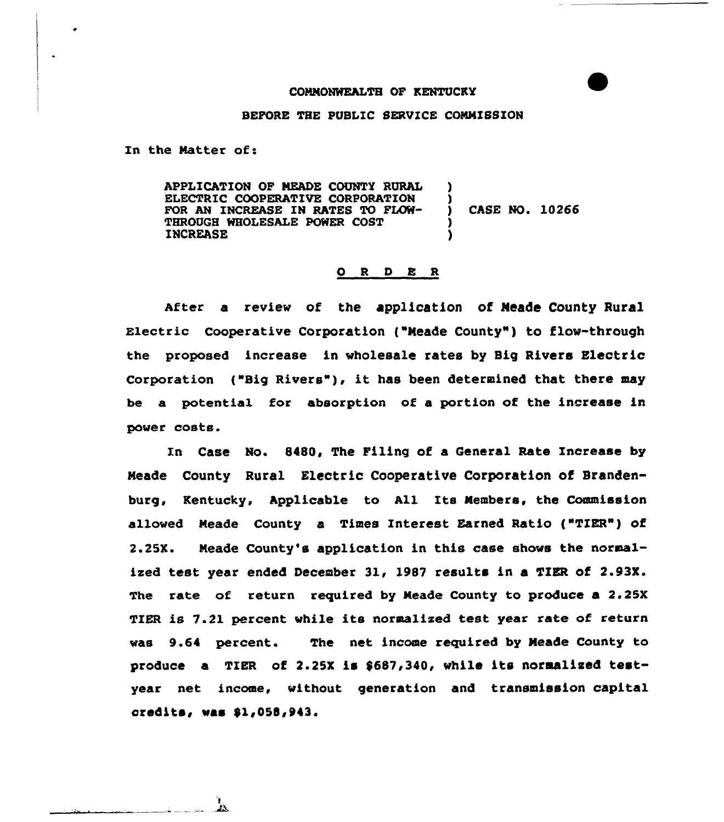## COMMONWEALTH OF KENTUCKY

## BEFORE THE PUBLIC SERVICE COMMISSION

In the Matter of:

APPLICATION OF MEADE COUNTY RURAL ELECTRIC COOPERATIVE CORPORATION FOR AN INCREASE IN RATES TO FLOW-THROUGH WHOLESALE POWER COST INCREASE ) ) ) CASE NO. 10266 ) )

## 0 <sup>R</sup> <sup>D</sup> E R

After a review of the application of Neade County Rural Electric Cooperative Corporation ("Meade County") to flow-through the proposed increase in wholesale rates by Big Rivers Electric Corporation ("Big Rivers"), it has been determined that there may be a potential for absorption of a portion of the increase in power costs.

In Case No. 8480, The Filing of a General Rate Increase by Meade County Rural Electric Cooperative Corporation of Srandenburg, Kentucky, Applicable to All Its Members, the Commission allowed Meade County a Times Interest Earned Ratio ("TIER") of 2.25X. Meade County's application in this case shows the normalized test year ended December 31, 1987 results in a TIER of 2.93X. The rate of return required by Meade County to produce a 2.25X TIER is 7.21 percent while its normalized test year rate of return was 9.64 percent. The net income required by Meade County to produce a TIER of 2.25X is  $$687,340$ , while its normalized testyear net income, without generation and transmission capital credits, was  $$1,058,943.$